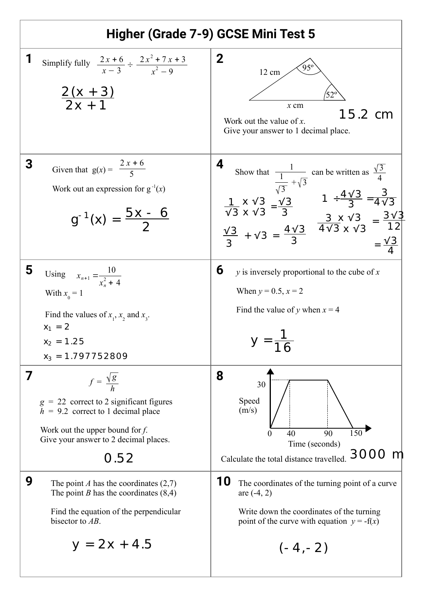| Higher (Grade 7-9) GCSE Mini Test 5 |                                                                                                                                                                                                      |                                                                                                                                                                                                                                                                                                                                                                                               |
|-------------------------------------|------------------------------------------------------------------------------------------------------------------------------------------------------------------------------------------------------|-----------------------------------------------------------------------------------------------------------------------------------------------------------------------------------------------------------------------------------------------------------------------------------------------------------------------------------------------------------------------------------------------|
| 1                                   | Simplify fully $\frac{2x+6}{x-3} \div \frac{2x^2+7x+3}{x^2-9}$<br>$\frac{2(x + 3)}{2x + 1}$                                                                                                          | $\bf{2}$<br>12 cm<br>$52^\circ$<br>$x$ cm<br>$15.2 \text{ cm}$<br>Work out the value of $x$ .<br>Give your answer to 1 decimal place.                                                                                                                                                                                                                                                         |
| 3                                   | Given that $g(x) = \frac{2x+6}{5}$<br>Work out an expression for $g^{-1}(x)$<br>$g^{-1}(x) = \frac{bx - 6}{2}$                                                                                       | 4<br>Show that $\frac{1}{\sqrt{3} + \sqrt{3}}$ can be written as $\frac{\sqrt{3}}{4}$<br>$\frac{1}{\sqrt{3}} \times \sqrt{3} = \frac{\sqrt{3}}{3}$ $1 \div \frac{4\sqrt{3}}{3} = \frac{3}{4\sqrt{3}}$<br>$\frac{\sqrt{3}}{3} \times \sqrt{3} = \frac{3\sqrt{3}}{12}$<br>$\frac{\sqrt{3}}{3} + \sqrt{3} = \frac{4\sqrt{3}}{3}$ $\frac{3 \times \sqrt{3}}{4\sqrt{3} \times \sqrt{3}} = \frac{3$ |
| 5                                   | Using $x_{n+1} = \frac{10}{x_1^2 + 4}$<br>With $x_0 = 1$<br>Find the values of $x_1$ , $x_2$ and $x_3$ .<br>$x_1 = 2$<br>$x_2 = 1.25$<br>$x_3 = 1.797752809$                                         | 6<br>$y$ is inversely proportional to the cube of $x$<br>When $y = 0.5$ , $x = 2$<br>Find the value of y when $x = 4$                                                                                                                                                                                                                                                                         |
| 7                                   | $f = \frac{\sqrt{g}}{h}$<br>$g = 22$ correct to 2 significant figures<br>$h = 9.2$ correct to 1 decimal place<br>Work out the upper bound for $f$ .<br>Give your answer to 2 decimal places.<br>0.52 | 8<br>30<br>Speed<br>(m/s)<br>$\overline{150}$<br>90<br>40<br>$\Omega$<br>Time (seconds)<br>3000 m<br>Calculate the total distance travelled.                                                                                                                                                                                                                                                  |
| 9                                   | The point A has the coordinates $(2,7)$<br>The point <i>B</i> has the coordinates $(8,4)$<br>Find the equation of the perpendicular<br>bisector to AB.<br>$y = 2x + 4.5$                             | 10<br>The coordinates of the turning point of a curve<br>are $(-4, 2)$<br>Write down the coordinates of the turning<br>point of the curve with equation $y = -f(x)$<br>$(-4,-2)$                                                                                                                                                                                                              |